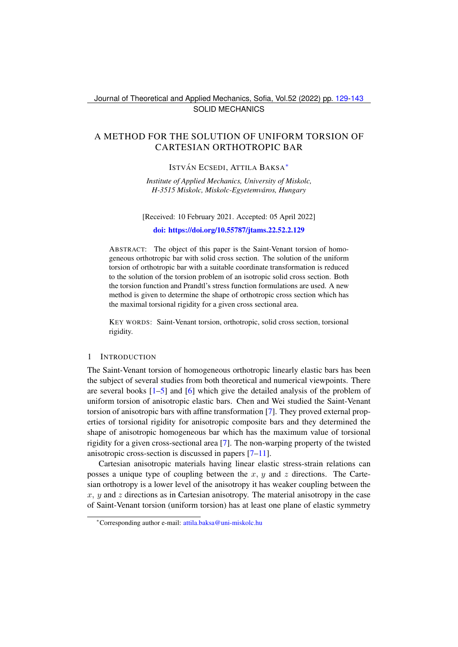Journal of Theoretical and Applied Mechanics, Sofia, Vol.52 (2022) pp. [129-](#page-0-0)[143](#page-14-0) SOLID MECHANICS

# <span id="page-0-0"></span>A METHOD FOR THE SOLUTION OF UNIFORM TORSION OF CARTESIAN ORTHOTROPIC BAR

# ISTVÁN ECSEDI, ATTILA BAKSA<sup>\*</sup>

*Institute of Applied Mechanics, University of Miskolc, H-3515 Miskolc, Miskolc-Egyetemvaros, Hungary ´*

[Received: 10 February 2021. Accepted: 05 April 2022] [doi: https://doi.org/10.55787/jtams.22.52.2.129](https://doi.org/10.55787/jtams.22.52.2.129)

ABSTRACT: The object of this paper is the Saint-Venant torsion of homogeneous orthotropic bar with solid cross section. The solution of the uniform torsion of orthotropic bar with a suitable coordinate transformation is reduced to the solution of the torsion problem of an isotropic solid cross section. Both the torsion function and Prandtl's stress function formulations are used. A new method is given to determine the shape of orthotropic cross section which has the maximal torsional rigidity for a given cross sectional area.

KEY WORDS: Saint-Venant torsion, orthotropic, solid cross section, torsional rigidity.

# 1 INTRODUCTION

The Saint-Venant torsion of homogeneous orthotropic linearly elastic bars has been the subject of several studies from both theoretical and numerical viewpoints. There are several books  $\lceil 1-5 \rceil$  and  $\lceil 6 \rceil$  which give the detailed analysis of the problem of uniform torsion of anisotropic elastic bars. Chen and Wei studied the Saint-Venant torsion of anisotropic bars with affine transformation [\[7\]](#page-14-4). They proved external properties of torsional rigidity for anisotropic composite bars and they determined the shape of anisotropic homogeneous bar which has the maximum value of torsional rigidity for a given cross-sectional area [\[7\]](#page-14-4). The non-warping property of the twisted anisotropic cross-section is discussed in papers [\[7](#page-14-4)[–11\]](#page-14-5).

Cartesian anisotropic materials having linear elastic stress-strain relations can posses a unique type of coupling between the  $x, y$  and  $z$  directions. The Cartesian orthotropy is a lower level of the anisotropy it has weaker coupling between the  $x, y$  and  $z$  directions as in Cartesian anisotropy. The material anisotropy in the case of Saint-Venant torsion (uniform torsion) has at least one plane of elastic symmetry

<span id="page-0-1"></span><sup>∗</sup>Corresponding author e-mail: [attila.baksa@uni-miskolc.hu](mailto:attila.baksa@uni-miskolc.hu)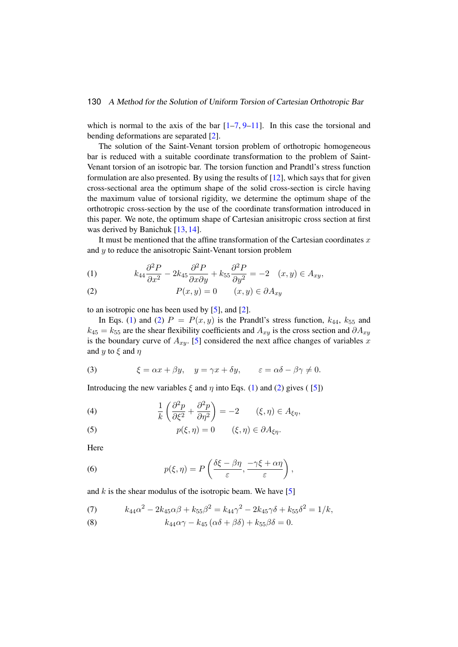which is normal to the axis of the bar  $[1-7, 9-11]$  $[1-7, 9-11]$  $[1-7, 9-11]$  $[1-7, 9-11]$ . In this case the torsional and bending deformations are separated [\[2\]](#page-14-7).

The solution of the Saint-Venant torsion problem of orthotropic homogeneous bar is reduced with a suitable coordinate transformation to the problem of Saint-Venant torsion of an isotropic bar. The torsion function and Prandtl's stress function formulation are also presented. By using the results of  $[12]$ , which says that for given cross-sectional area the optimum shape of the solid cross-section is circle having the maximum value of torsional rigidity, we determine the optimum shape of the orthotropic cross-section by the use of the coordinate transformation introduced in this paper. We note, the optimum shape of Cartesian anisitropic cross section at first was derived by Banichuk [\[13,](#page-14-9) [14\]](#page-14-10).

It must be mentioned that the affine transformation of the Cartesian coordinates  $x$ and  $y$  to reduce the anisotropic Saint-Venant torsion problem

<span id="page-1-0"></span>(1) 
$$
k_{44} \frac{\partial^2 P}{\partial x^2} - 2k_{45} \frac{\partial^2 P}{\partial x \partial y} + k_{55} \frac{\partial^2 P}{\partial y^2} = -2 \quad (x, y) \in A_{xy},
$$

<span id="page-1-1"></span>(2) 
$$
P(x,y) = 0 \qquad (x,y) \in \partial A_{xy}
$$

to an isotropic one has been used by [\[5\]](#page-14-2), and [\[2\]](#page-14-7).

In Eqs. [\(1\)](#page-1-0) and [\(2\)](#page-1-1)  $P = P(x, y)$  is the Prandtl's stress function,  $k_{44}$ ,  $k_{55}$  and  $k_{45} = k_{55}$  are the shear flexibility coefficients and  $A_{xy}$  is the cross section and  $\partial A_{xy}$ is the boundary curve of  $A_{xy}$ . [\[5\]](#page-14-2) considered the next affice changes of variables x and y to  $\xi$  and  $\eta$ 

<span id="page-1-2"></span>(3) 
$$
\xi = \alpha x + \beta y, \quad y = \gamma x + \delta y, \quad \varepsilon = \alpha \delta - \beta \gamma \neq 0.
$$

Introducing the new variables  $\xi$  and  $\eta$  into Eqs. [\(1\)](#page-1-0) and [\(2\)](#page-1-1) gives ( [\[5\]](#page-14-2))

(4) 
$$
\frac{1}{k} \left( \frac{\partial^2 p}{\partial \xi^2} + \frac{\partial^2 p}{\partial \eta^2} \right) = -2 \qquad (\xi, \eta) \in A_{\xi\eta},
$$

(5) 
$$
p(\xi, \eta) = 0 \qquad (\xi, \eta) \in \partial A_{\xi\eta}.
$$

Here

(6) 
$$
p(\xi, \eta) = P\left(\frac{\delta\xi - \beta\eta}{\varepsilon}, \frac{-\gamma\xi + \alpha\eta}{\varepsilon}\right),
$$

and  $k$  is the shear modulus of the isotropic beam. We have [\[5\]](#page-14-2)

(7) 
$$
k_{44}\alpha^2 - 2k_{45}\alpha\beta + k_{55}\beta^2 = k_{44}\gamma^2 - 2k_{45}\gamma\delta + k_{55}\delta^2 = 1/k,
$$
  
(8) 
$$
k_{44}\alpha\gamma - k_{45}(\alpha\delta + \beta\delta) + k_{55}\beta\delta = 0.
$$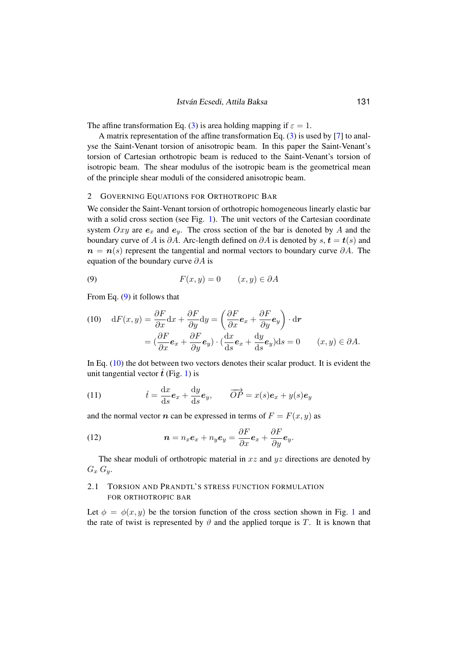The affine transformation Eq. [\(3\)](#page-1-2) is area holding mapping if  $\varepsilon = 1$ .

A matrix representation of the affine transformation Eq. [\(3\)](#page-1-2) is used by [\[7\]](#page-14-4) to analyse the Saint-Venant torsion of anisotropic beam. In this paper the Saint-Venant's torsion of Cartesian orthotropic beam is reduced to the Saint-Venant's torsion of isotropic beam. The shear modulus of the isotropic beam is the geometrical mean of the principle shear moduli of the considered anisotropic beam.

#### <span id="page-2-2"></span>2 GOVERNING EQUATIONS FOR ORTHOTROPIC BAR

We consider the Saint-Venant torsion of orthotropic homogeneous linearly elastic bar with a solid cross section (see Fig. [1\)](#page-3-0). The unit vectors of the Cartesian coordinate system  $Oxy$  are  $e_x$  and  $e_y$ . The cross section of the bar is denoted by A and the boundary curve of A is ∂A. Arc-length defined on  $\partial A$  is denoted by s,  $t = t(s)$  and  $n = n(s)$  represent the tangential and normal vectors to boundary curve  $\partial A$ . The equation of the boundary curve  $\partial A$  is

<span id="page-2-0"></span>(9) 
$$
F(x,y) = 0 \qquad (x,y) \in \partial A
$$

From Eq. [\(9\)](#page-2-0) it follows that

<span id="page-2-1"></span>(10) 
$$
dF(x,y) = \frac{\partial F}{\partial x} dx + \frac{\partial F}{\partial y} dy = \left(\frac{\partial F}{\partial x} e_x + \frac{\partial F}{\partial y} e_y\right) \cdot dr
$$

$$
= \left(\frac{\partial F}{\partial x} e_x + \frac{\partial F}{\partial y} e_y\right) \cdot \left(\frac{dx}{ds} e_x + \frac{dy}{ds} e_y\right) ds = 0 \qquad (x, y) \in \partial A.
$$

In Eq.  $(10)$  the dot between two vectors denotes their scalar product. It is evident the unit tangential vector  $\hat{t}$  (Fig. [1\)](#page-3-0) is

(11) 
$$
\hat{t} = \frac{dx}{ds} \mathbf{e}_x + \frac{dy}{ds} \mathbf{e}_y, \qquad \overrightarrow{OP} = x(s) \mathbf{e}_x + y(s) \mathbf{e}_y
$$

and the normal vector *n* can be expressed in terms of  $F = F(x, y)$  as

(12) 
$$
\boldsymbol{n} = n_x \boldsymbol{e}_x + n_y \boldsymbol{e}_y = \frac{\partial F}{\partial x} \boldsymbol{e}_x + \frac{\partial F}{\partial y} \boldsymbol{e}_y.
$$

The shear moduli of orthotropic material in  $xz$  and  $yz$  directions are denoted by  $G_x G_y$ .

# 2.1 TORSION AND PRANDTL'S STRESS FUNCTION FORMULATION FOR ORTHOTROPIC BAR

Let  $\phi = \phi(x, y)$  be the torsion function of the cross section shown in Fig. [1](#page-3-0) and the rate of twist is represented by  $\vartheta$  and the applied torque is T. It is known that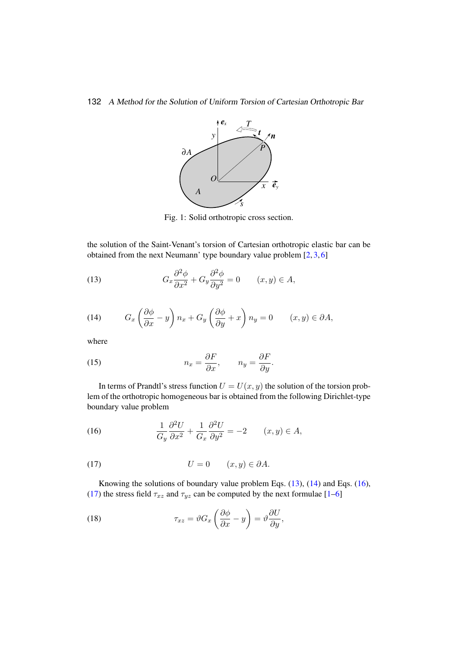<span id="page-3-0"></span>

<span id="page-3-1"></span>Fig. 1: Solid orthotropic cross section.

the solution of the Saint-Venant's torsion of Cartesian orthotropic elastic bar can be obtained from the next Neumann' type boundary value problem [\[2,](#page-14-7) [3,](#page-14-11) [6\]](#page-14-3)

(13) 
$$
G_x \frac{\partial^2 \phi}{\partial x^2} + G_y \frac{\partial^2 \phi}{\partial y^2} = 0 \qquad (x, y) \in A,
$$

<span id="page-3-2"></span>(14) 
$$
G_x \left( \frac{\partial \phi}{\partial x} - y \right) n_x + G_y \left( \frac{\partial \phi}{\partial y} + x \right) n_y = 0 \qquad (x, y) \in \partial A,
$$

where

(15) 
$$
n_x = \frac{\partial F}{\partial x}, \qquad n_y = \frac{\partial F}{\partial y}.
$$

In terms of Prandtl's stress function  $U = U(x, y)$  the solution of the torsion problem of the orthotropic homogeneous bar is obtained from the following Dirichlet-type boundary value problem

<span id="page-3-3"></span>(16) 
$$
\frac{1}{G_y} \frac{\partial^2 U}{\partial x^2} + \frac{1}{G_x} \frac{\partial^2 U}{\partial y^2} = -2 \qquad (x, y) \in A,
$$

<span id="page-3-4"></span>
$$
(17) \t\t\t U = 0 \t\t (x, y) \in \partial A.
$$

Knowing the solutions of boundary value problem Eqs. [\(13\)](#page-3-1), [\(14\)](#page-3-2) and Eqs. [\(16\)](#page-3-3), [\(17\)](#page-3-4) the stress field  $\tau_{xz}$  and  $\tau_{yz}$  can be computed by the next formulae [\[1–](#page-14-1)[6\]](#page-14-3)

(18) 
$$
\tau_{xz} = \vartheta G_x \left( \frac{\partial \phi}{\partial x} - y \right) = \vartheta \frac{\partial U}{\partial y},
$$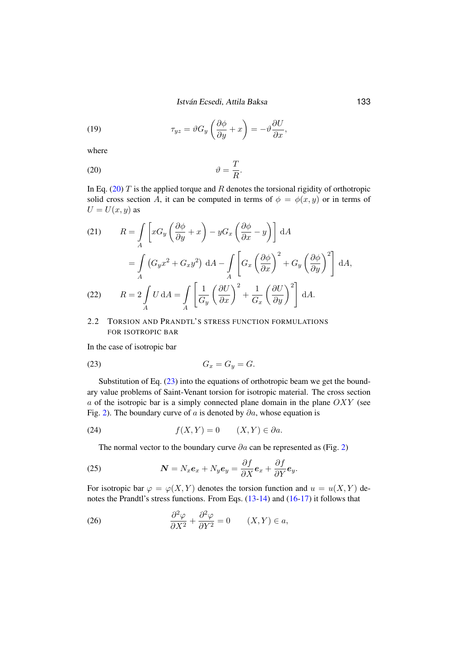<span id="page-4-0"></span>István Ecsedi, Attila Baksa **(133)** 

(19) 
$$
\tau_{yz} = \vartheta G_y \left( \frac{\partial \phi}{\partial y} + x \right) = -\vartheta \frac{\partial U}{\partial x},
$$

where

$$
\vartheta = \frac{T}{R}.
$$

In Eq.  $(20)$  T is the applied torque and R denotes the torsional rigidity of orthotropic solid cross section A, it can be computed in terms of  $\phi = \phi(x, y)$  or in terms of  $U = U(x, y)$  as

(21) 
$$
R = \int_{A} \left[ xG_y \left( \frac{\partial \phi}{\partial y} + x \right) - yG_x \left( \frac{\partial \phi}{\partial x} - y \right) \right] dA
$$

$$
= \int_{A} \left( G_y x^2 + G_x y^2 \right) dA - \int_{A} \left[ G_x \left( \frac{\partial \phi}{\partial x} \right)^2 + G_y \left( \frac{\partial \phi}{\partial y} \right)^2 \right] dA,
$$
  
(22) 
$$
R = 2 \int_{A} U dA = \int_{A} \left[ \frac{1}{G_y} \left( \frac{\partial U}{\partial x} \right)^2 + \frac{1}{G_x} \left( \frac{\partial U}{\partial y} \right)^2 \right] dA.
$$

# 2.2 TORSION AND PRANDTL'S STRESS FUNCTION FORMULATIONS FOR ISOTROPIC BAR

In the case of isotropic bar

<span id="page-4-1"></span>
$$
(23) \tG_x = G_y = G.
$$

Substitution of Eq.  $(23)$  into the equations of orthotropic beam we get the boundary value problems of Saint-Venant torsion for isotropic material. The cross section  $a$  of the isotropic bar is a simply connected plane domain in the plane  $OXY$  (see Fig. [2\)](#page-5-0). The boundary curve of a is denoted by  $\partial a$ , whose equation is

(24) 
$$
f(X,Y) = 0 \qquad (X,Y) \in \partial a.
$$

The normal vector to the boundary curve  $\partial a$  can be represented as (Fig. [2\)](#page-5-0)

(25) 
$$
\mathbf{N} = N_x \mathbf{e}_x + N_y \mathbf{e}_y = \frac{\partial f}{\partial X} \mathbf{e}_x + \frac{\partial f}{\partial Y} \mathbf{e}_y.
$$

For isotropic bar  $\varphi = \varphi(X, Y)$  denotes the torsion function and  $u = u(X, Y)$  denotes the Prandtl's stress functions. From Eqs. [\(13-](#page-3-1)[14\)](#page-3-2) and [\(16-](#page-3-3)[17\)](#page-3-4) it follows that

(26) 
$$
\frac{\partial^2 \varphi}{\partial X^2} + \frac{\partial^2 \varphi}{\partial Y^2} = 0 \qquad (X, Y) \in a,
$$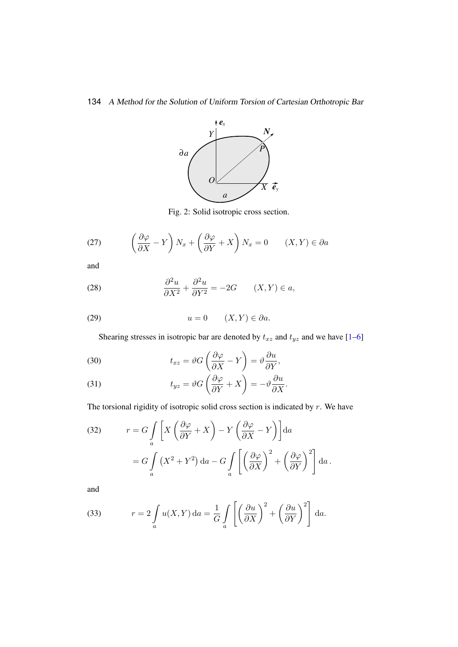<span id="page-5-0"></span>

Fig. 2: Solid isotropic cross section.

(27) 
$$
\left(\frac{\partial \varphi}{\partial X} - Y\right) N_x + \left(\frac{\partial \varphi}{\partial Y} + X\right) N_x = 0 \qquad (X, Y) \in \partial a
$$

and

(28) 
$$
\frac{\partial^2 u}{\partial X^2} + \frac{\partial^2 u}{\partial Y^2} = -2G \qquad (X, Y) \in a,
$$

(29) 
$$
u = 0 \qquad (X, Y) \in \partial a.
$$

Shearing stresses in isotropic bar are denoted by  $t_{xz}$  and  $t_{yz}$  and we have [\[1–](#page-14-1)[6\]](#page-14-3)

(30) 
$$
t_{xz} = \vartheta G \left( \frac{\partial \varphi}{\partial X} - Y \right) = \vartheta \frac{\partial u}{\partial Y},
$$

(31) 
$$
t_{yz} = \vartheta G \left( \frac{\partial \varphi}{\partial Y} + X \right) = -\vartheta \frac{\partial u}{\partial X}.
$$

The torsional rigidity of isotropic solid cross section is indicated by  $r$ . We have

(32) 
$$
r = G \int_{a} \left[ X \left( \frac{\partial \varphi}{\partial Y} + X \right) - Y \left( \frac{\partial \varphi}{\partial X} - Y \right) \right] da
$$

$$
= G \int_{a} \left( X^{2} + Y^{2} \right) da - G \int_{a} \left[ \left( \frac{\partial \varphi}{\partial X} \right)^{2} + \left( \frac{\partial \varphi}{\partial Y} \right)^{2} \right] da.
$$

and

(33) 
$$
r = 2 \int_{a} u(X, Y) da = \frac{1}{G} \int_{a} \left[ \left( \frac{\partial u}{\partial X} \right)^{2} + \left( \frac{\partial u}{\partial Y} \right)^{2} \right] da.
$$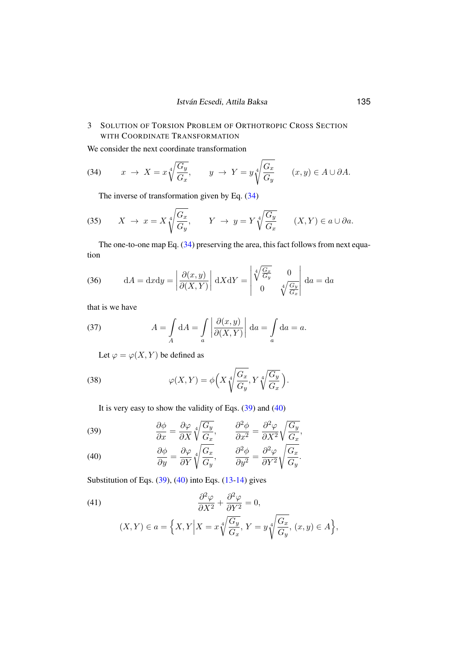# 3 SOLUTION OF TORSION PROBLEM OF ORTHOTROPIC CROSS SECTION WITH COORDINATE TRANSFORMATION

We consider the next coordinate transformation

<span id="page-6-0"></span>(34) 
$$
x \to X = x \sqrt[4]{\frac{G_y}{G_x}}, \qquad y \to Y = y \sqrt[4]{\frac{G_x}{G_y}} \qquad (x, y) \in A \cup \partial A.
$$

The inverse of transformation given by Eq. [\(34\)](#page-6-0)

(35) 
$$
X \to x = X \sqrt[4]{\frac{G_x}{G_y}}, \qquad Y \to y = Y \sqrt[4]{\frac{G_y}{G_x}} \qquad (X, Y) \in a \cup \partial a.
$$

The one-to-one map Eq. [\(34\)](#page-6-0) preserving the area, this fact follows from next equation

(36) 
$$
dA = dxdy = \left| \frac{\partial(x, y)}{\partial(X, Y)} \right| dX dY = \begin{vmatrix} 4 \sqrt{\frac{G_x}{G_y}} & 0\\ 0 & 4 \sqrt{\frac{G_y}{G_x}} \end{vmatrix} da = da
$$

that is we have

(37) 
$$
A = \int_A dA = \int_a \left| \frac{\partial(x, y)}{\partial(X, Y)} \right| da = \int_a da = a.
$$

<span id="page-6-3"></span>Let  $\varphi = \varphi(X, Y)$  be defined as

(38) 
$$
\varphi(X,Y) = \phi\left(X\sqrt[4]{\frac{G_x}{G_y}}, Y\sqrt[4]{\frac{G_y}{G_x}}\right).
$$

It is very easy to show the validity of Eqs.  $(39)$  and  $(40)$ 

<span id="page-6-1"></span>(39) 
$$
\frac{\partial \phi}{\partial x} = \frac{\partial \varphi}{\partial X} \sqrt[4]{\frac{G_y}{G_x}}, \qquad \frac{\partial^2 \phi}{\partial x^2} = \frac{\partial^2 \varphi}{\partial X^2} \sqrt{\frac{G_y}{G_x}},
$$

<span id="page-6-2"></span>(40) 
$$
\frac{\partial \phi}{\partial y} = \frac{\partial \varphi}{\partial Y} \sqrt[4]{\frac{G_x}{G_y}}, \qquad \frac{\partial^2 \phi}{\partial y^2} = \frac{\partial^2 \varphi}{\partial Y^2} \sqrt{\frac{G_x}{G_y}}.
$$

Substitution of Eqs.  $(39)$ ,  $(40)$  into Eqs.  $(13-14)$  $(13-14)$  gives

(41)  
\n
$$
\frac{\partial^2 \varphi}{\partial X^2} + \frac{\partial^2 \varphi}{\partial Y^2} = 0,
$$
\n
$$
(X, Y) \in a = \left\{ X, Y \middle| X = x \sqrt[4]{\frac{G_y}{G_x}}, Y = y \sqrt[4]{\frac{G_x}{G_y}}, (x, y) \in A \right\},
$$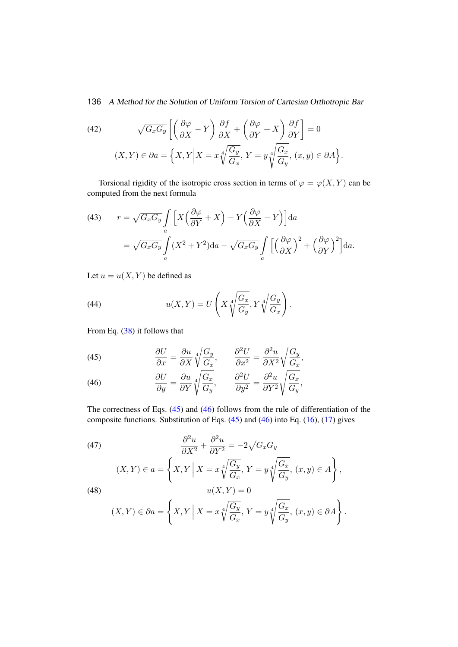(42) 
$$
\sqrt{G_x G_y} \left[ \left( \frac{\partial \varphi}{\partial X} - Y \right) \frac{\partial f}{\partial X} + \left( \frac{\partial \varphi}{\partial Y} + X \right) \frac{\partial f}{\partial Y} \right] = 0
$$

$$
(X, Y) \in \partial a = \left\{ X, Y \Big| X = x \sqrt[4]{\frac{G_y}{G_x}}, Y = y \sqrt[4]{\frac{G_x}{G_y}}, (x, y) \in \partial A \right\}.
$$

Torsional rigidity of the isotropic cross section in terms of  $\varphi = \varphi(X, Y)$  can be computed from the next formula

(43) 
$$
r = \sqrt{G_x G_y} \int_a \left[ X \left( \frac{\partial \varphi}{\partial Y} + X \right) - Y \left( \frac{\partial \varphi}{\partial X} - Y \right) \right] da
$$

$$
= \sqrt{G_x G_y} \int_a (X^2 + Y^2) da - \sqrt{G_x G_y} \int_a \left[ \left( \frac{\partial \varphi}{\partial X} \right)^2 + \left( \frac{\partial \varphi}{\partial Y} \right)^2 \right] da.
$$

Let  $u = u(X, Y)$  be defined as

<span id="page-7-2"></span>(44) 
$$
u(X,Y) = U\left(X\sqrt[4]{\frac{G_x}{G_y}}, Y\sqrt[4]{\frac{G_y}{G_x}}\right).
$$

From Eq. [\(38\)](#page-6-3) it follows that

<span id="page-7-0"></span>(45) 
$$
\frac{\partial U}{\partial x} = \frac{\partial u}{\partial X} \sqrt[4]{\frac{G_y}{G_x}}, \qquad \frac{\partial^2 U}{\partial x^2} = \frac{\partial^2 u}{\partial X^2} \sqrt{\frac{G_y}{G_x}},
$$

<span id="page-7-1"></span>(46) 
$$
\frac{\partial U}{\partial y} = \frac{\partial u}{\partial Y} \sqrt[4]{\frac{G_x}{G_y}}, \qquad \frac{\partial^2 U}{\partial y^2} = \frac{\partial^2 u}{\partial Y^2} \sqrt{\frac{G_x}{G_y}},
$$

The correctness of Eqs. [\(45\)](#page-7-0) and [\(46\)](#page-7-1) follows from the rule of differentiation of the composite functions. Substitution of Eqs. [\(45\)](#page-7-0) and [\(46\)](#page-7-1) into Eq. [\(16\)](#page-3-3), [\(17\)](#page-3-4) gives

(47)  
\n
$$
\frac{\partial^2 u}{\partial X^2} + \frac{\partial^2 u}{\partial Y^2} = -2\sqrt{G_x G_y}
$$
\n
$$
(X, Y) \in a = \left\{ X, Y \mid X = x \sqrt[4]{\frac{G_y}{G_x}}, Y = y \sqrt[4]{\frac{G_x}{G_y}}, (x, y) \in A \right\},
$$
\n(48)  
\n
$$
u(X, Y) = 0
$$
\n
$$
(X, Y) \in \partial a = \left\{ X, Y \mid X = x \sqrt[4]{\frac{G_y}{G_x}}, Y = y \sqrt[4]{\frac{G_x}{G_y}}, (x, y) \in \partial A \right\}.
$$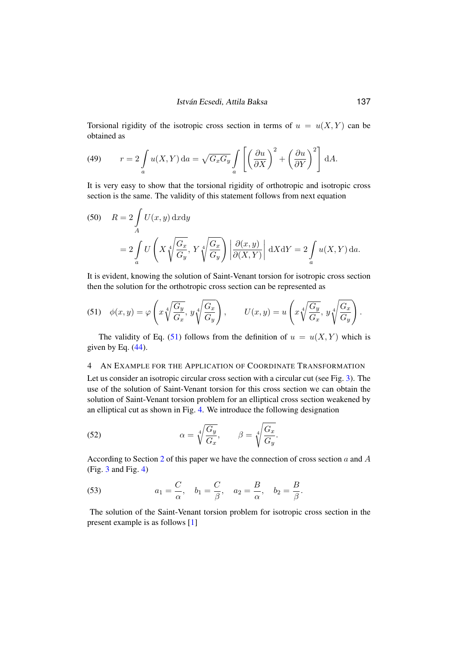Torsional rigidity of the isotropic cross section in terms of  $u = u(X, Y)$  can be obtained as

(49) 
$$
r = 2 \int_{a} u(X, Y) \, \mathrm{d}a = \sqrt{G_x G_y} \int_{a} \left[ \left( \frac{\partial u}{\partial X} \right)^2 + \left( \frac{\partial u}{\partial Y} \right)^2 \right] \, \mathrm{d}A.
$$

It is very easy to show that the torsional rigidity of orthotropic and isotropic cross section is the same. The validity of this statement follows from next equation

(50) 
$$
R = 2 \int_A U(x, y) \, dx \, dy
$$

$$
= 2 \int_a U\left(X \sqrt[4]{\frac{G_x}{G_y}}, Y \sqrt[4]{\frac{G_x}{G_y}}\right) \left|\frac{\partial(x, y)}{\partial(X, Y)}\right| \, dX \, dY = 2 \int_a u(X, Y) \, da.
$$

It is evident, knowing the solution of Saint-Venant torsion for isotropic cross section then the solution for the orthotropic cross section can be represented as

<span id="page-8-0"></span>(51) 
$$
\phi(x,y) = \varphi\left(x\sqrt[4]{\frac{G_y}{G_x}}, y\sqrt[4]{\frac{G_x}{G_y}}\right), \qquad U(x,y) = u\left(x\sqrt[4]{\frac{G_y}{G_x}}, y\sqrt[4]{\frac{G_x}{G_y}}\right).
$$

The validity of Eq. [\(51\)](#page-8-0) follows from the definition of  $u = u(X, Y)$  which is given by Eq.  $(44)$ .

# 4 AN EXAMPLE FOR THE APPLICATION OF COORDINATE TRANSFORMATION

Let us consider an isotropic circular cross section with a circular cut (see Fig. [3\)](#page-9-0). The use of the solution of Saint-Venant torsion for this cross section we can obtain the solution of Saint-Venant torsion problem for an elliptical cross section weakened by an elliptical cut as shown in Fig. [4.](#page-9-1) We introduce the following designation

(52) 
$$
\alpha = \sqrt[4]{\frac{G_y}{G_x}}, \qquad \beta = \sqrt[4]{\frac{G_x}{G_y}}.
$$

According to Section [2](#page-2-2) of this paper we have the connection of cross section a and A (Fig. [3](#page-9-0) and Fig. [4\)](#page-9-1)

(53) 
$$
a_1 = \frac{C}{\alpha}, \quad b_1 = \frac{C}{\beta}, \quad a_2 = \frac{B}{\alpha}, \quad b_2 = \frac{B}{\beta}.
$$

The solution of the Saint-Venant torsion problem for isotropic cross section in the present example is as follows [\[1\]](#page-14-1)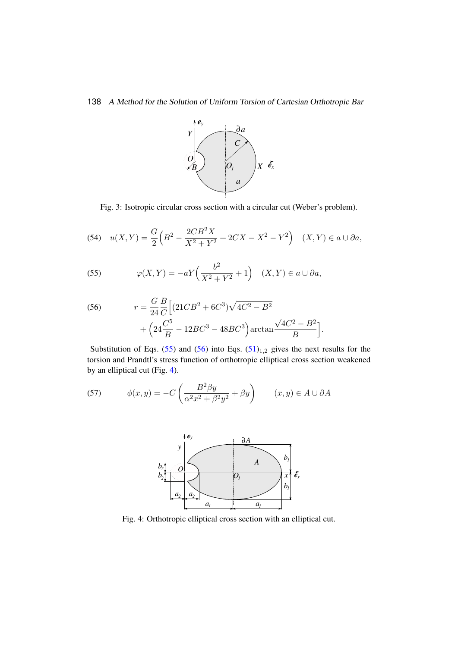

<span id="page-9-0"></span>Fig. 3: Isotropic circular cross section with a circular cut (Weber's problem).

(54) 
$$
u(X,Y) = \frac{G}{2} \left( B^2 - \frac{2CB^2X}{X^2 + Y^2} + 2CX - X^2 - Y^2 \right) \quad (X,Y) \in a \cup \partial a,
$$

<span id="page-9-2"></span>(55) 
$$
\varphi(X,Y) = -aY\left(\frac{b^2}{X^2 + Y^2} + 1\right) \quad (X,Y) \in a \cup \partial a,
$$

<span id="page-9-3"></span>(56) 
$$
r = \frac{G}{24} \frac{B}{C} \Big[ (21CB^2 + 6C^3) \sqrt{4C^2 - B^2} + \Big( 24 \frac{C^5}{B} - 12BC^3 - 48BC^3 \Big) \arctan \frac{\sqrt{4C^2 - B^2}}{B} \Big]
$$

Substitution of Eqs. [\(55\)](#page-9-2) and [\(56\)](#page-9-3) into Eqs.  $(51)_{1,2}$  $(51)_{1,2}$  gives the next results for the torsion and Prandtl's stress function of orthotropic elliptical cross section weakened by an elliptical cut (Fig. [4\)](#page-9-1).

.

<span id="page-9-1"></span>(57) 
$$
\phi(x,y) = -C\left(\frac{B^2\beta y}{\alpha^2 x^2 + \beta^2 y^2} + \beta y\right) \qquad (x,y) \in A \cup \partial A
$$



Fig. 4: Orthotropic elliptical cross section with an elliptical cut.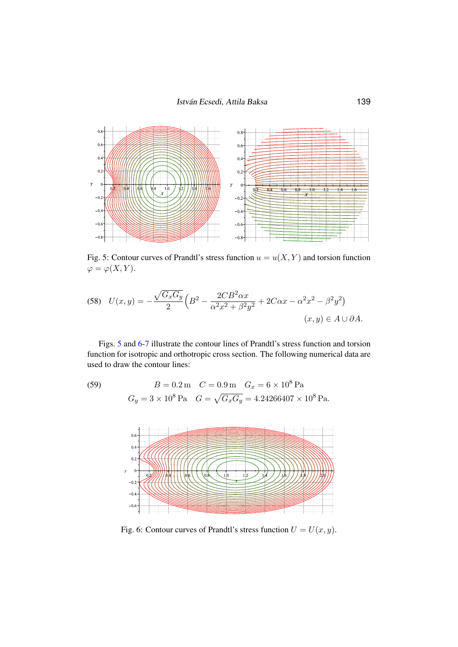<span id="page-10-0"></span>

Fig. 5: Contour curves of Prandtl's stress function  $u = u(X, Y)$  and torsion function  $\varphi = \varphi(X, Y).$ 

(58) 
$$
U(x,y) = -\frac{\sqrt{G_x G_y}}{2} \left( B^2 - \frac{2CB^2 \alpha x}{\alpha^2 x^2 + \beta^2 y^2} + 2C\alpha x - \alpha^2 x^2 - \beta^2 y^2 \right)
$$

$$
(x,y) \in A \cup \partial A.
$$

Figs. [5](#page-10-0) and [6-](#page-10-1)[7](#page-11-0) illustrate the contour lines of Prandtl's stress function and torsion function for isotropic and orthotropic cross section. The following numerical data are used to draw the contour lines:

(59) 
$$
B = 0.2 \text{ m } C = 0.9 \text{ m } G_x = 6 \times 10^8 \text{ Pa}
$$

$$
G_y = 3 \times 10^8 \text{ Pa } G = \sqrt{G_x G_y} = 4.24266407 \times 10^8 \text{ Pa}.
$$

<span id="page-10-1"></span>

Fig. 6: Contour curves of Prandtl's stress function  $U = U(x, y)$ .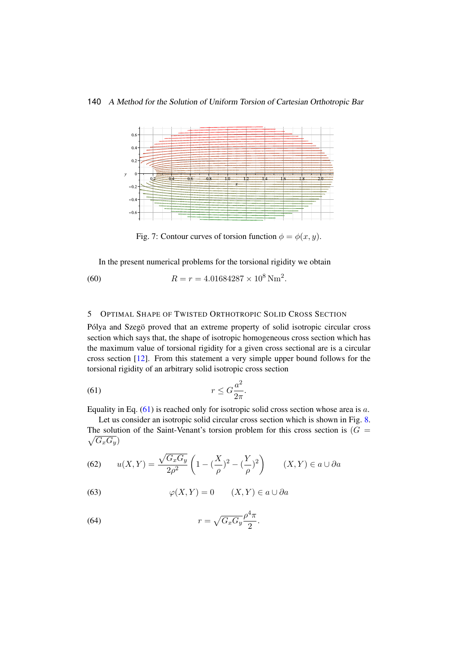<span id="page-11-0"></span>

Fig. 7: Contour curves of torsion function  $\phi = \phi(x, y)$ .

In the present numerical problems for the torsional rigidity we obtain

(60) 
$$
R = r = 4.01684287 \times 10^8 \,\mathrm{Nm}^2.
$$

# 5 OPTIMAL SHAPE OF TWISTED ORTHOTROPIC SOLID CROSS SECTION

Pólya and Szegö proved that an extreme property of solid isotropic circular cross section which says that, the shape of isotropic homogeneous cross section which has the maximum value of torsional rigidity for a given cross sectional are is a circular cross section [\[12\]](#page-14-8). From this statement a very simple upper bound follows for the torsional rigidity of an arbitrary solid isotropic cross section

<span id="page-11-1"></span>
$$
(61) \t\t\t r \le G \frac{a^2}{2\pi}.
$$

Equality in Eq.  $(61)$  is reached only for isotropic solid cross section whose area is a.

Let us consider an isotropic solid circular cross section which is shown in Fig. [8.](#page-12-0) The solution of the Saint-Venant's torsion problem for this cross section is  $(G =$  $\sqrt{G_xG_y}$ 

(62) 
$$
u(X,Y) = \frac{\sqrt{G_x G_y}}{2\rho^2} \left(1 - \left(\frac{X}{\rho}\right)^2 - \left(\frac{Y}{\rho}\right)^2\right) \qquad (X,Y) \in a \cup \partial a
$$

(63) 
$$
\varphi(X,Y) = 0 \qquad (X,Y) \in a \cup \partial a
$$

(64) 
$$
r = \sqrt{G_x G_y} \frac{\rho^4 \pi}{2}.
$$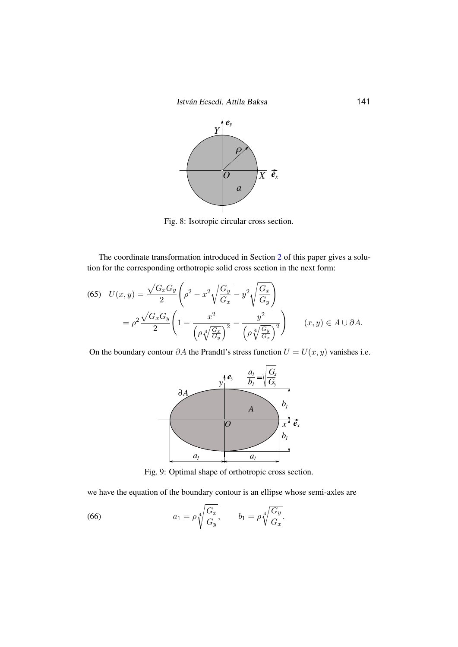István Ecsedi, Attila Baksa **141** 

<span id="page-12-0"></span>

Fig. 8: Isotropic circular cross section.

The coordinate transformation introduced in Section [2](#page-2-2) of this paper gives a solution for the corresponding orthotropic solid cross section in the next form:

$$
(65) \quad U(x,y) = \frac{\sqrt{G_x G_y}}{2} \left( \rho^2 - x^2 \sqrt{\frac{G_y}{G_x}} - y^2 \sqrt{\frac{G_x}{G_y}} \right)
$$

$$
= \rho^2 \frac{\sqrt{G_x G_y}}{2} \left( 1 - \frac{x^2}{\left( \rho \sqrt[4]{\frac{G_x}{G_y}} \right)^2} - \frac{y^2}{\left( \rho \sqrt[4]{\frac{G_y}{G_x}} \right)^2} \right) \qquad (x,y) \in A \cup \partial A.
$$

On the boundary contour  $\partial A$  the Prandtl's stress function  $U = U(x, y)$  vanishes i.e.



<span id="page-12-1"></span>Fig. 9: Optimal shape of orthotropic cross section.

we have the equation of the boundary contour is an ellipse whose semi-axles are

(66) 
$$
a_1 = \rho \sqrt[4]{\frac{G_x}{G_y}}, \qquad b_1 = \rho \sqrt[4]{\frac{G_y}{G_x}}.
$$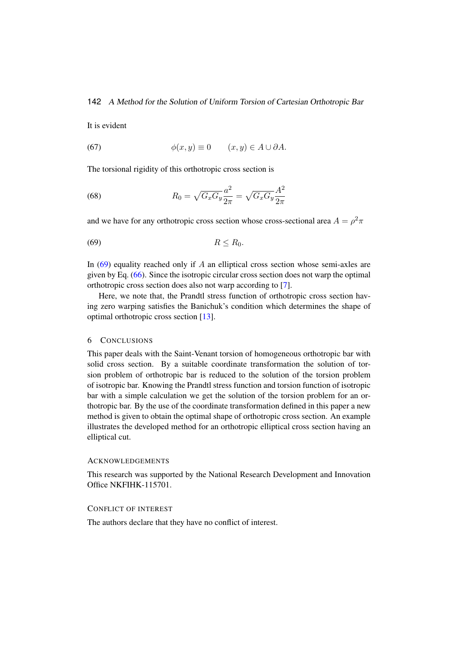It is evident

(67) 
$$
\phi(x,y) \equiv 0 \qquad (x,y) \in A \cup \partial A.
$$

The torsional rigidity of this orthotropic cross section is

(68) 
$$
R_0 = \sqrt{G_x G_y} \frac{a^2}{2\pi} = \sqrt{G_x G_y} \frac{A^2}{2\pi}
$$

and we have for any orthotropic cross section whose cross-sectional area  $A = \rho^2 \pi$ 

<span id="page-13-0"></span>
$$
(69) \t\t R \le R_0.
$$

In  $(69)$  equality reached only if A an elliptical cross section whose semi-axles are given by Eq. [\(66\)](#page-12-1). Since the isotropic circular cross section does not warp the optimal orthotropic cross section does also not warp according to [\[7\]](#page-14-4).

Here, we note that, the Prandtl stress function of orthotropic cross section having zero warping satisfies the Banichuk's condition which determines the shape of optimal orthotropic cross section [\[13\]](#page-14-9).

### 6 CONCLUSIONS

This paper deals with the Saint-Venant torsion of homogeneous orthotropic bar with solid cross section. By a suitable coordinate transformation the solution of torsion problem of orthotropic bar is reduced to the solution of the torsion problem of isotropic bar. Knowing the Prandtl stress function and torsion function of isotropic bar with a simple calculation we get the solution of the torsion problem for an orthotropic bar. By the use of the coordinate transformation defined in this paper a new method is given to obtain the optimal shape of orthotropic cross section. An example illustrates the developed method for an orthotropic elliptical cross section having an elliptical cut.

### ACKNOWLEDGEMENTS

This research was supported by the National Research Development and Innovation Office NKFIHK-115701.

#### CONFLICT OF INTEREST

The authors declare that they have no conflict of interest.